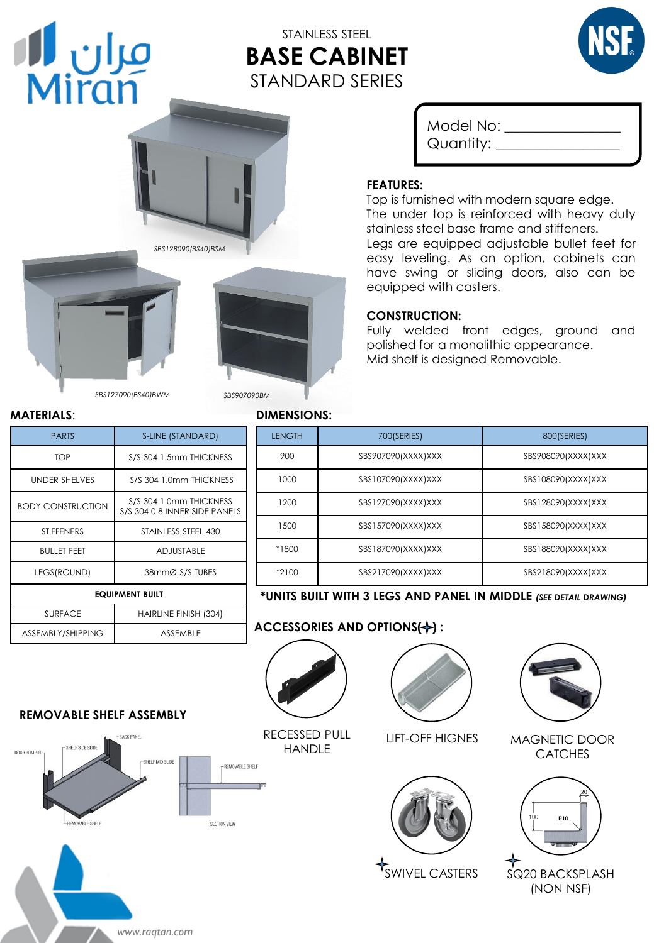# مران **ال**<br>Miran

# STAINLESS STEEL **BASE CABINET** STANDARD SERIES







*SBS127090(BS40)BWM SBS907090BM*

| <b>PARTS</b>             | S-LINE (STANDARD)                                        |  |
|--------------------------|----------------------------------------------------------|--|
| <b>TOP</b>               | S/S 304 1.5mm THICKNESS                                  |  |
| <b>UNDER SHELVES</b>     | S/S 304 1.0mm THICKNESS                                  |  |
| <b>BODY CONSTRUCTION</b> | S/S 304 1.0mm THICKNESS<br>S/S 304 0.8 INNER SIDE PANELS |  |
| <b>STIFFENERS</b>        | STAINLESS STEEL 430                                      |  |
| <b>BULLET FEET</b>       | <b>ADJUSTABLE</b>                                        |  |
| LEGS(ROUND)              | 38mmØ S/S TUBES                                          |  |
| <b>EQUIPMENT BUILT</b>   |                                                          |  |
| <b>SURFACE</b>           | HAIRLINE FINISH (304)                                    |  |
| ASSEMBLY/SHIPPING        | <b>ASSEMBLE</b>                                          |  |

*www.raqtan.com*

#### **MATERIALS**: **DIMENSIONS:**

## Model No: \_\_\_\_\_\_\_\_\_\_\_\_\_\_\_\_ Quantity: \_\_\_\_\_\_\_\_\_\_\_\_\_\_\_\_\_

#### **FEATURES:**

Top is furnished with modern square edge. The under top is reinforced with heavy duty stainless steel base frame and stiffeners. Legs are equipped adjustable bullet feet for easy leveling. As an option, cabinets can have swing or sliding doors, also can be equipped with casters.

#### **CONSTRUCTION:**

Fully welded front edges, ground and polished for a monolithic appearance. Mid shelf is designed Removable.

| אוטועאווא.    |                    |                    |
|---------------|--------------------|--------------------|
| <b>LENGTH</b> | 700(SERIES)        | 800(SERIES)        |
| 900           | SBS907090(XXXX)XXX | SBS908090(XXXX)XXX |
| 1000          | SBS107090(XXXX)XXX | SBS108090(XXXX)XXX |
| 1200          | SBS127090(XXXX)XXX | SBS128090(XXXX)XXX |
| 1500          | SBS157090(XXXX)XXX | SBS158090(XXXX)XXX |
| *1800         | SBS187090(XXXX)XXX | SBS188090(XXXX)XXX |
| $*2100$       | SBS217090(XXXX)XXX | SBS218090(XXXX)XXX |

#### **\*UNITS BUILT WITH 3 LEGS AND PANEL IN MIDDLE** *(SEE DETAIL DRAWING)*

### **ACCESSORIES AND OPTIONS(+):**